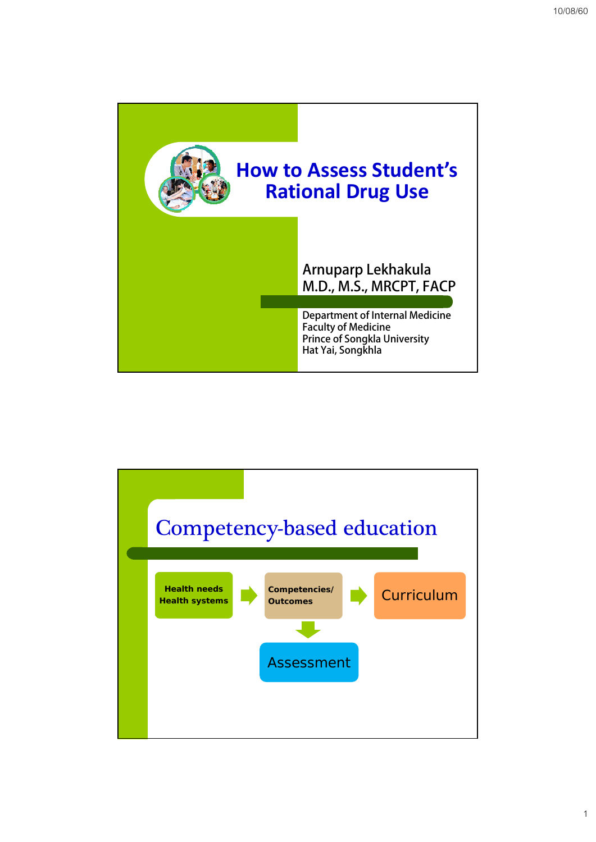

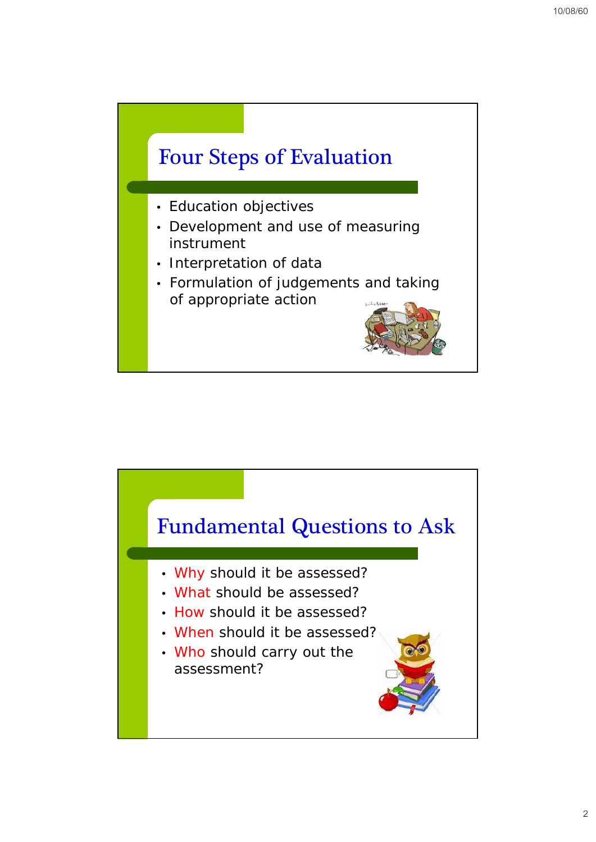

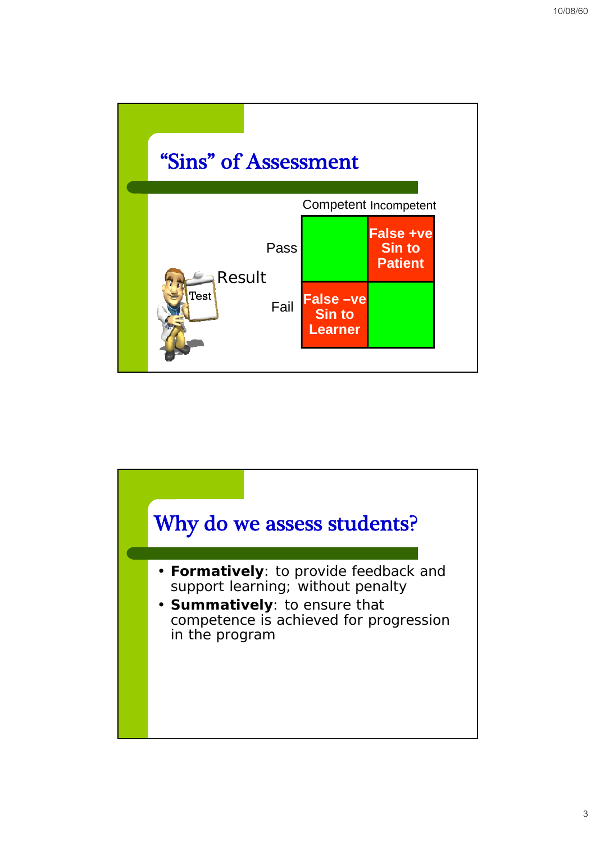

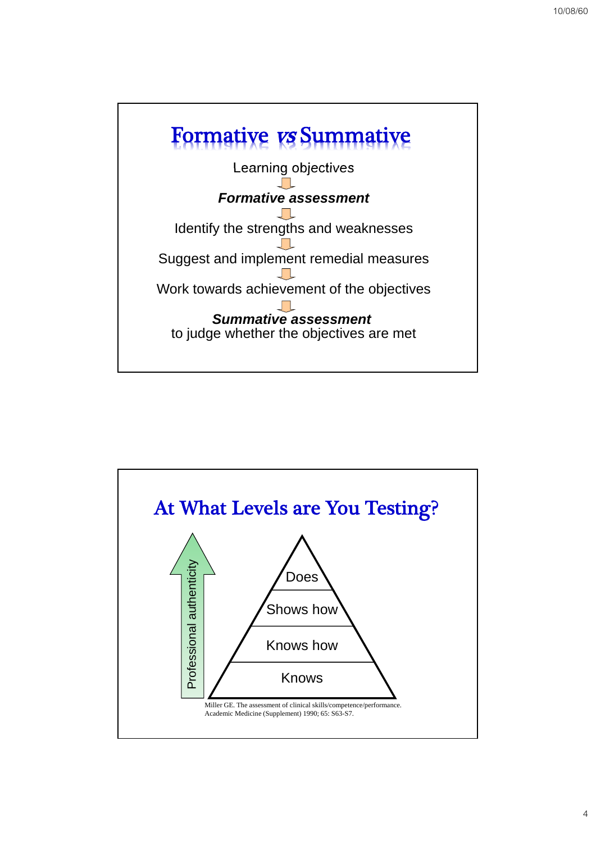

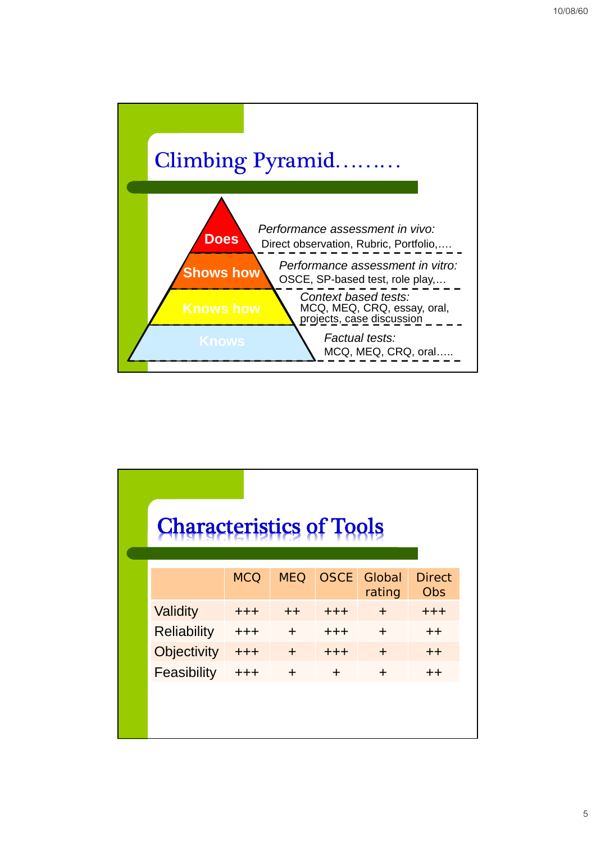

| <b>Characteristics of Tools</b> |                                  |            |             |               |
|---------------------------------|----------------------------------|------------|-------------|---------------|
|                                 |                                  |            |             | <b>Direct</b> |
|                                 |                                  |            | rating      | Obs           |
| $+ + +$                         | $++$                             | $+ + +$    | $+$         | $+ + +$       |
| $^{+++}$                        | $\div$                           | $+ + +$    | $\div$      | $++$          |
| $++++$                          | $\div$                           | $+ + +$    | $\div$      | $++$          |
| $+ + +$                         | $\ddot{}$                        | $\ddot{}$  | $+$         | $++$          |
|                                 |                                  |            |             |               |
|                                 |                                  |            |             |               |
|                                 | <b>MCQ</b><br><b>Objectivity</b> | <b>MEQ</b> | <b>OSCE</b> | Global        |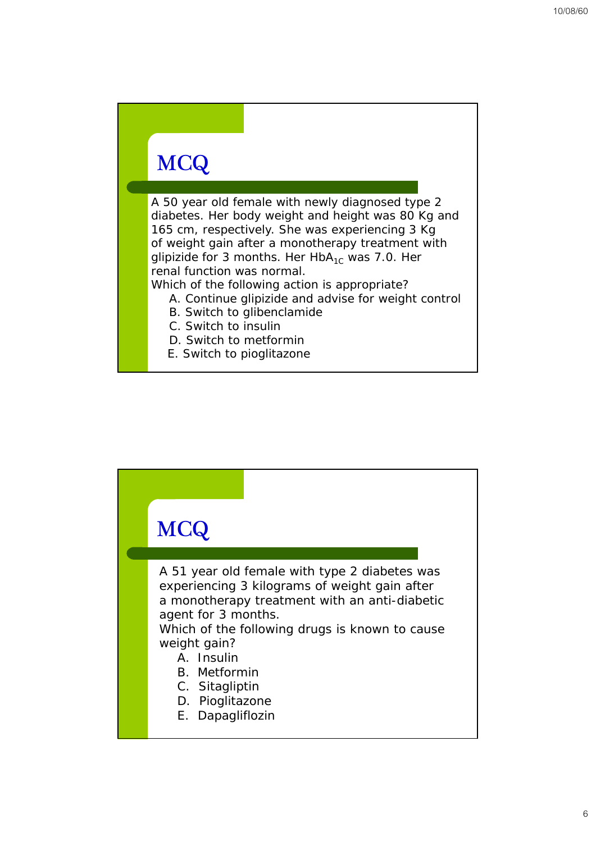# **MCQ**

A 50 year old female with newly diagnosed type 2 diabetes. Her body weight and height was 80 Kg and 165 cm, respectively. She was experiencing 3 Kg of weight gain after a monotherapy treatment with glipizide for 3 months. Her  $HbA_{1c}$  was 7.0. Her renal function was normal.

Which of the following action is appropriate?

- A. Continue glipizide and advise for weight control
- B. Switch to glibenclamide
- C. Switch to insulin
- D. Switch to metformin
- E. Switch to pioglitazone

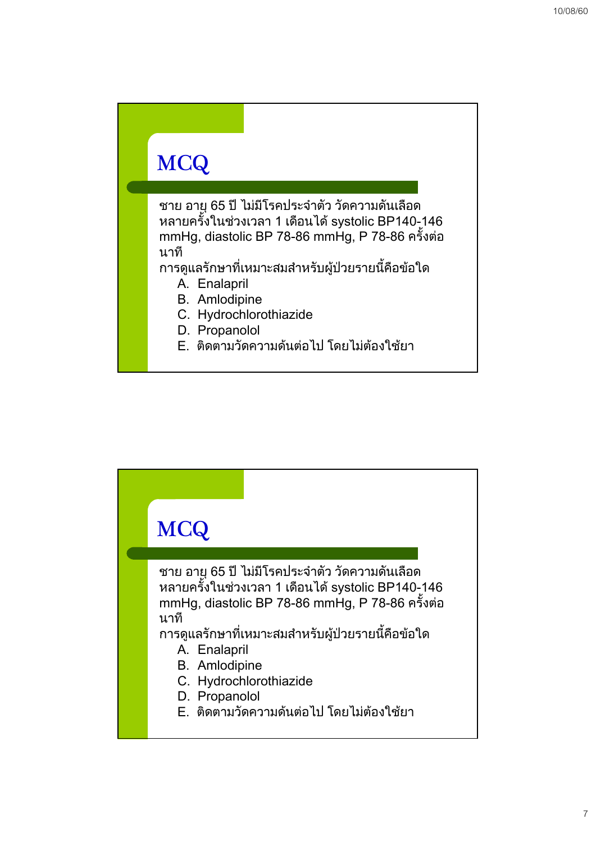### **MCQ**

ิชาย อายุ 65 ปี ไม่มีโรคประจำตัว วัดความดันเลือด หลายครั้งในชวงเวลา 1 เดือนได systolic BP140-146 mmHg, diastolic BP 78-86 mmHg, P 78-86 ครั้งตอ นาที

ึ การดูแลรักษาที่เหมาะสมสำหรับผู้ป่วยรายนี้คือข้อใด

- A. Enalapril
- B. Amlodipine
- C. Hydrochlorothiazide
- D. Propanolol
- E. ติดตามวัดความด้นต่อไป โดยไม่ต้องใช้ยา

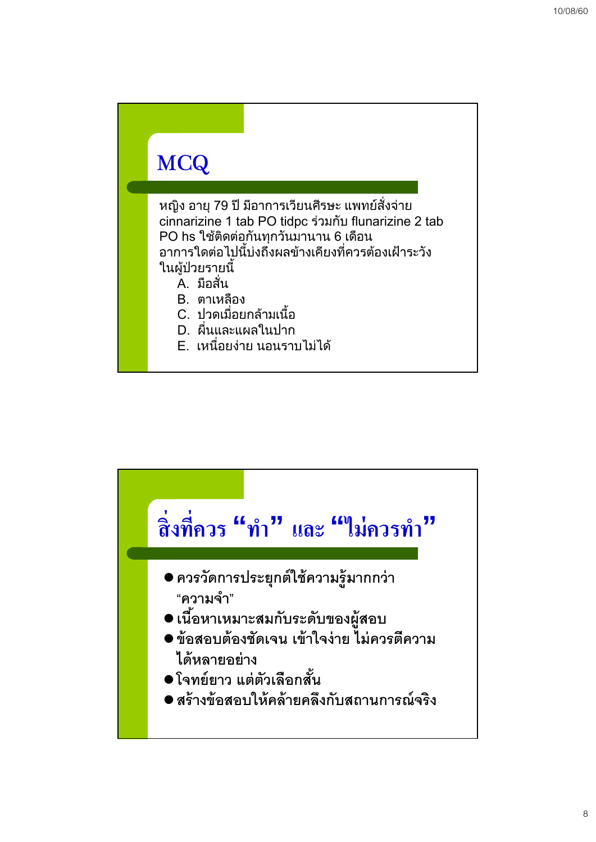# **MCQ**

หญิง อายุ 79 ป มีอาการเวียนศีรษะ แพทยสั่งจาย cinnarizine 1 tab PO tidpc รวมกับ flunarizine 2 tab PO hs ใชติดตอกันทุกวันมานาน 6 เดือน ือาการใดต่อไปนี้บ่งถึงผลข้างเคียงที่ควรต้องเฝ้าระวัง ในผูปวยรายนี้

- A. มือสั่น
- B. ตาเหลือง
- C. ปวดเมื่อยกลามเนื้อ
- D. ผื่นและแผลในปาก
- E. เหนื่อยงาย นอนราบไมได

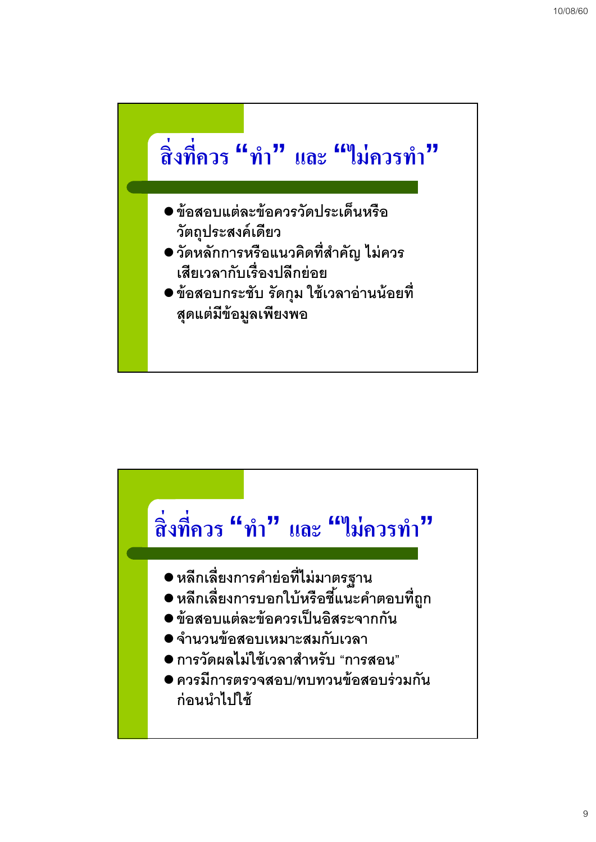

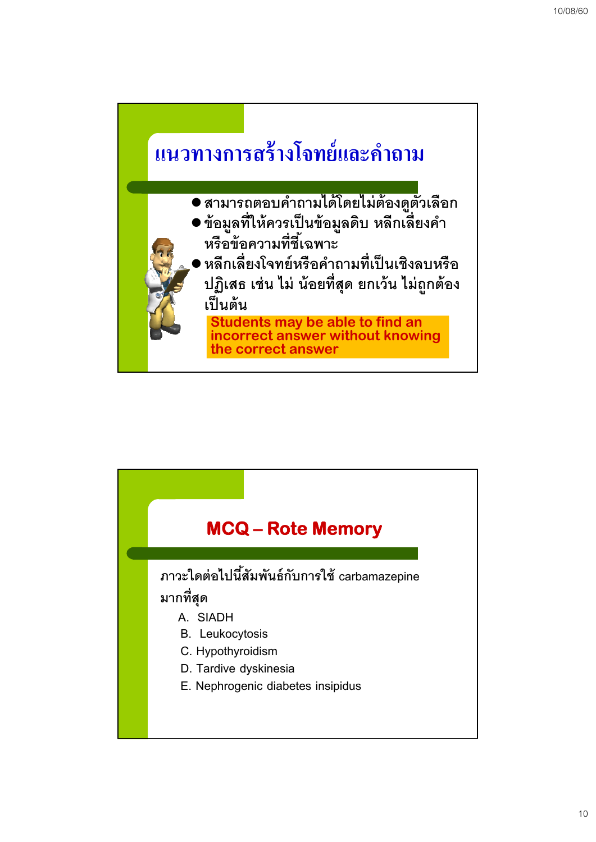

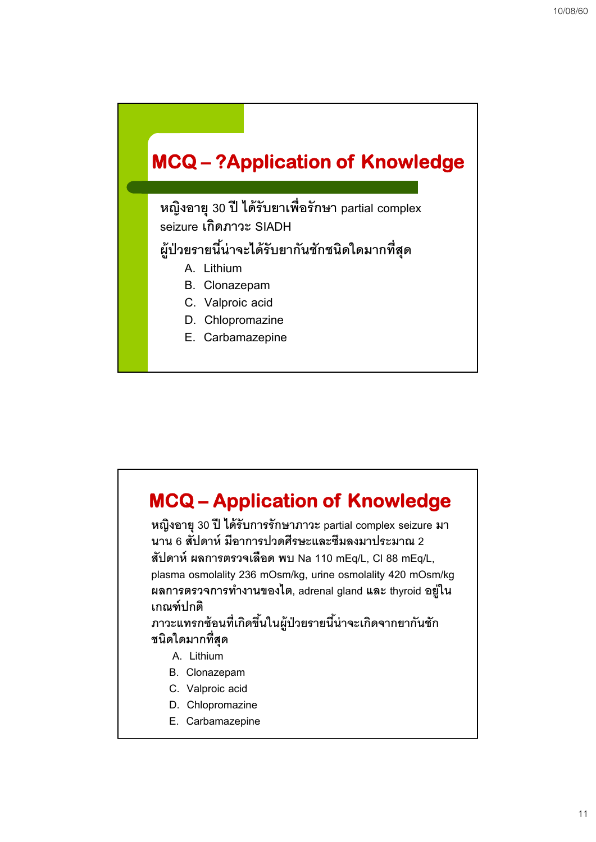### **MCQ – ?Application of Knowledge**

**หญิงอายุ 30 ปีได้รับยาเพ่อรื ักษา partial complex seizure เกดภาวะ ิ SIADH**

#### **ผู้ป่วยรายนีน้่าจะได้รับยากันชักชนิดใดมากท่สีุด**

- **A. Lithium**
- **B. Clonazepam**
- **C. Valproic acid**
- **D. Chlopromazine**
- **E. Carbamazepine**

# **MCQ – Application of Knowledge**

**หญิงอายุ 30 ปีได้รับการรักษาภาวะ partial complex seizure มา นาน 6 สัปดาห์มีอาการปวดศีรษะและซมลงมาประมาณ ึ 2 สัปดาห์ผลการตรวจเลือด พบ Na 110 mEq/L, Cl 88 mEq/L, plasma osmolality 236 mOsm/kg, urine osmolality 420 mOsm/kg ผลการตรวจการทางานของไต ํ , adrenal gland และ thyroid อยู่ ใน เกณฑ์ปกติ**

**ภาวะแทรกซ้อนท่เกี ิดขึนในผ ้ ู้ป่วยรายนีน้่าจะเกิดจากยากันชัก ชนิดใดมากท่สีุด**

- **A. Lithium**
- **B. Clonazepam**
- **C. Valproic acid**
- **D. Chlopromazine**
- **E. Carbamazepine**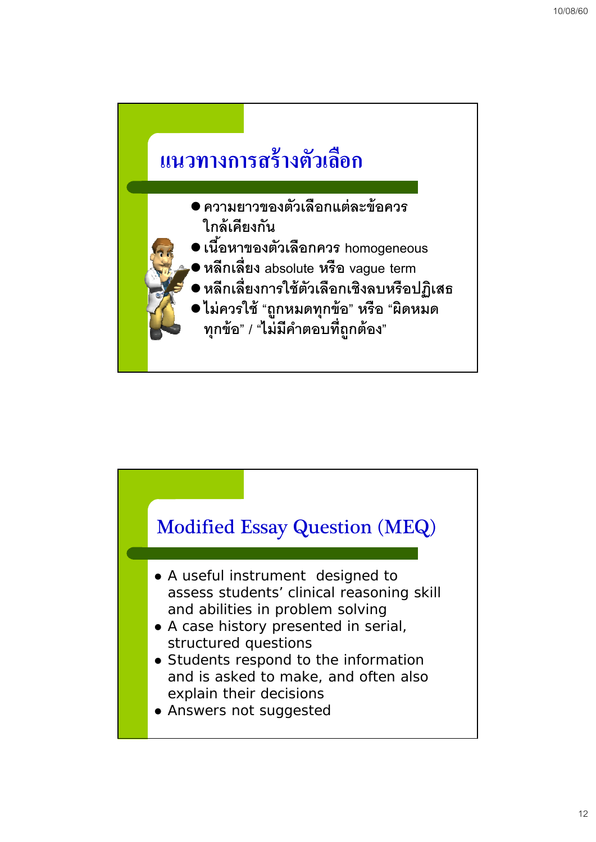

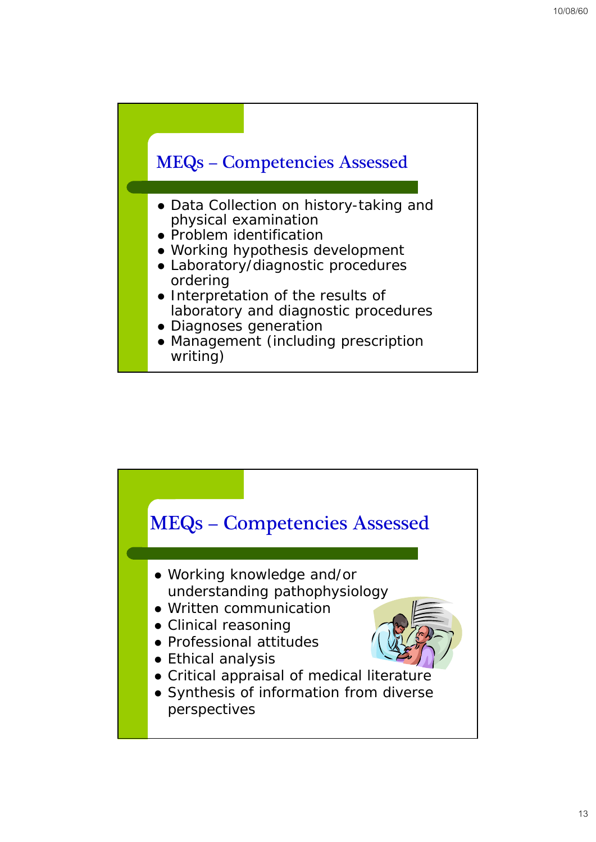

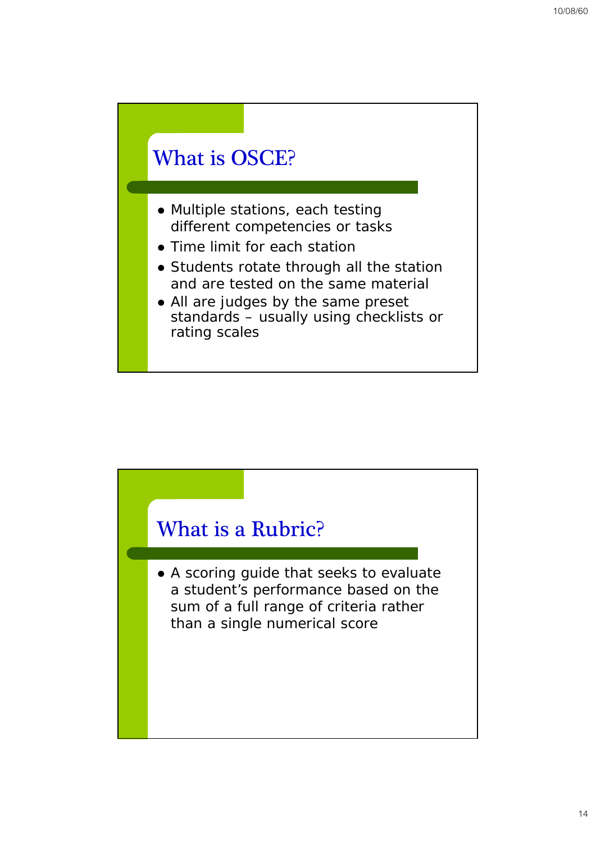### What is OSCE?

- Multiple stations, each testing different competencies or tasks
- Time limit for each station
- Students rotate through all the station and are tested on the same material
- All are judges by the same preset standards – usually using checklists or rating scales

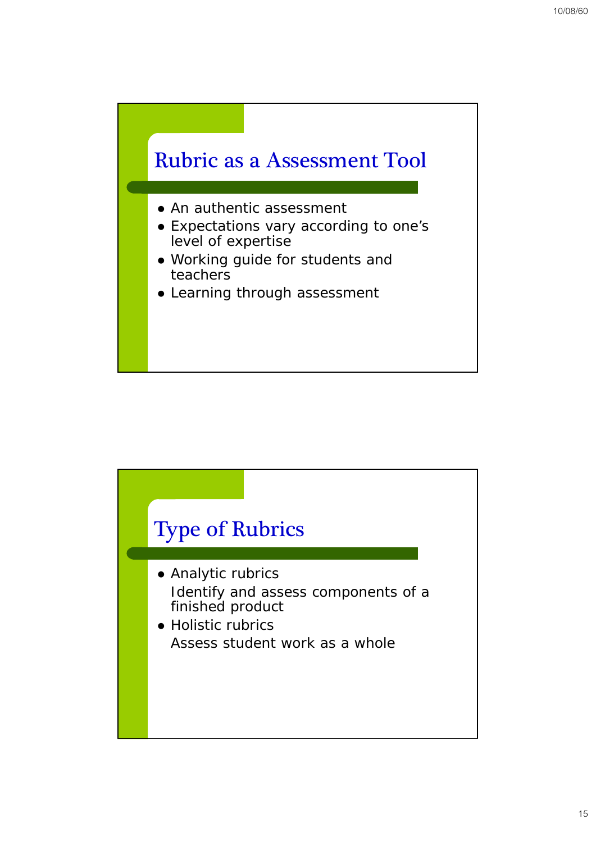

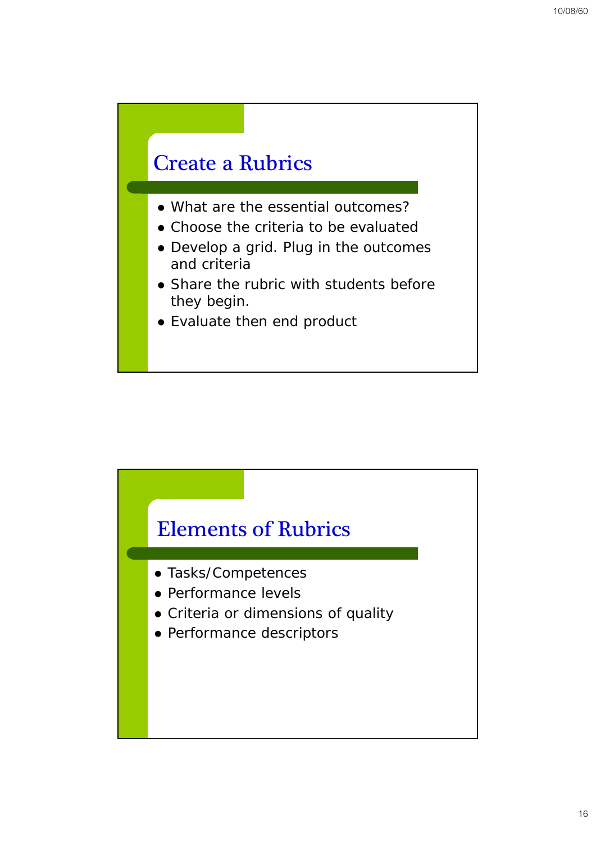### Create a Rubrics

- What are the essential outcomes?
- Choose the criteria to be evaluated
- Develop a grid. Plug in the outcomes and criteria
- Share the rubric with students before they begin.
- Evaluate then end product

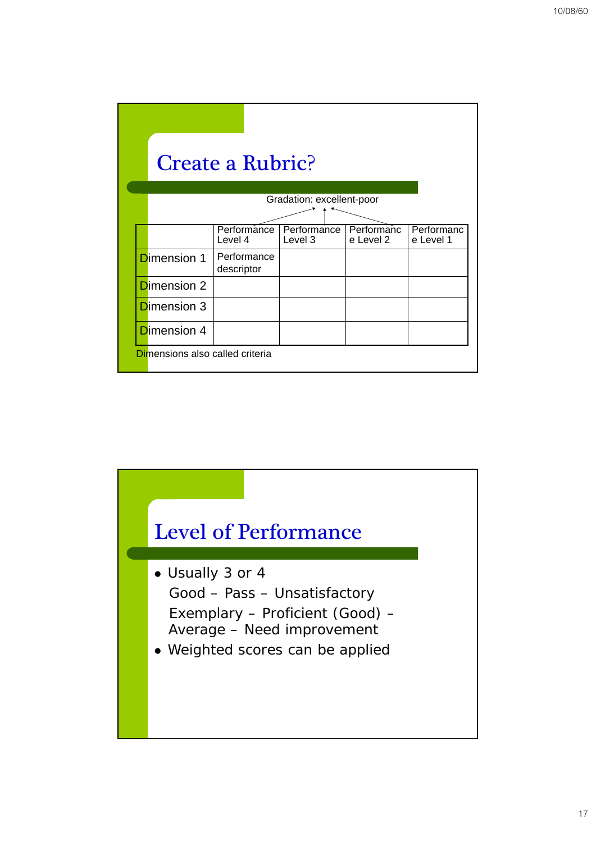|                                 | <b>Create a Rubric?</b>   |                           |                         |                         |
|---------------------------------|---------------------------|---------------------------|-------------------------|-------------------------|
|                                 |                           | Gradation: excellent-poor |                         |                         |
|                                 | Performance<br>Level 4    | Performance<br>Level 3    | Performanc<br>e Level 2 | Performanc<br>e Level 1 |
| <b>D</b> imension 1             | Performance<br>descriptor |                           |                         |                         |
| <b>Dimension 2</b>              |                           |                           |                         |                         |
| <b>Dimension 3</b>              |                           |                           |                         |                         |
| <b>D</b> imension 4             |                           |                           |                         |                         |
| Dimensions also called criteria |                           |                           |                         |                         |

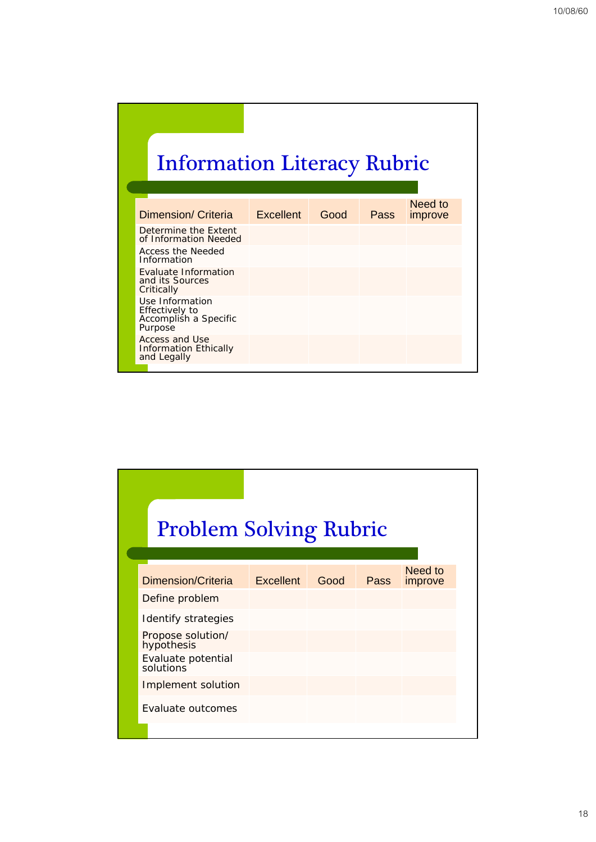# Information Literacy Rubric

| Dimension/ Criteria                                                   | Excellent | Good | Pass | Need to<br>improve |
|-----------------------------------------------------------------------|-----------|------|------|--------------------|
| Determine the Extent<br>of Information Needed                         |           |      |      |                    |
| Access the Needed<br>Information                                      |           |      |      |                    |
| Evaluate Information<br>and its Sources<br>Critically                 |           |      |      |                    |
| Use Information<br>Effectively to<br>Accomplish a Specific<br>Purpose |           |      |      |                    |
| Access and Use<br><b>Information Ethically</b><br>and Legally         |           |      |      |                    |

| <b>Problem Solving Rubric</b>   |      |      |                    |
|---------------------------------|------|------|--------------------|
|                                 |      |      |                    |
| Dimension/Criteria Excellent    | Good | Pass | Need to<br>improve |
| Define problem                  |      |      |                    |
| Identify strategies             |      |      |                    |
| Propose solution/<br>hypothesis |      |      |                    |
| Evaluate potential<br>solutions |      |      |                    |
| Implement solution              |      |      |                    |
| Evaluate outcomes               |      |      |                    |